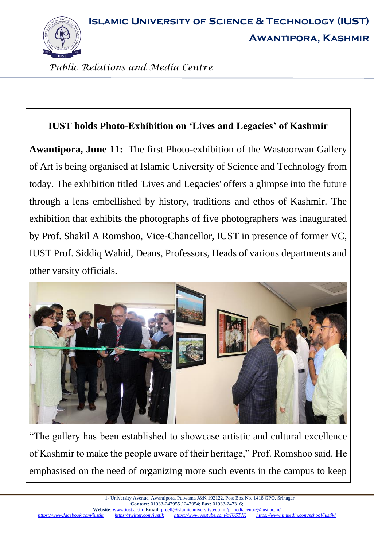**Islamic University of Science & Technology (IUST)**



**Awantipora, Kashmir**

*Public Relations and Media Centre*

## **IUST holds Photo-Exhibition on 'Lives and Legacies' of Kashmir**

**Awantipora, June 11:** The first Photo-exhibition of the Wastoorwan Gallery of Art is being organised at Islamic University of Science and Technology from today. The exhibition titled 'Lives and Legacies' offers a glimpse into the future through a lens embellished by history, traditions and ethos of Kashmir. The exhibition that exhibits the photographs of five photographers was inaugurated by Prof. Shakil A Romshoo, Vice-Chancellor, IUST in presence of former VC, IUST Prof. Siddiq Wahid, Deans, Professors, Heads of various departments and other varsity officials.



"The gallery has been established to showcase artistic and cultural excellence of Kashmir to make the people aware of their heritage," Prof. Romshoo said. He emphasised on the need of organizing more such events in the campus to keep